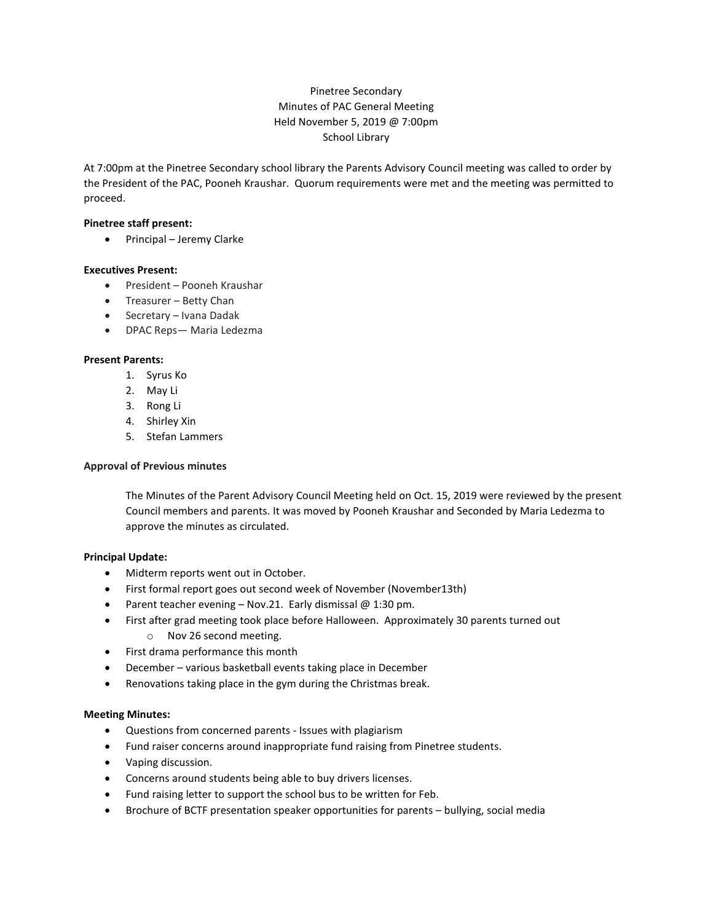# Pinetree Secondary Minutes of PAC General Meeting Held November 5, 2019 @ 7:00pm School Library

At 7:00pm at the Pinetree Secondary school library the Parents Advisory Council meeting was called to order by the President of the PAC, Pooneh Kraushar. Quorum requirements were met and the meeting was permitted to proceed.

### **Pinetree staff present:**

• Principal – Jeremy Clarke

#### **Executives Present:**

- President Pooneh Kraushar
- Treasurer Betty Chan
- Secretary Ivana Dadak
- DPAC Reps— Maria Ledezma

# **Present Parents:**

- 1. Syrus Ko
- 2. May Li
- 3. Rong Li
- 4. Shirley Xin
- 5. Stefan Lammers

### **Approval of Previous minutes**

The Minutes of the Parent Advisory Council Meeting held on Oct. 15, 2019 were reviewed by the present Council members and parents. It was moved by Pooneh Kraushar and Seconded by Maria Ledezma to approve the minutes as circulated.

# **Principal Update:**

- Midterm reports went out in October.
- First formal report goes out second week of November (November13th)
- Parent teacher evening Nov.21. Early dismissal  $@1:30$  pm.
- First after grad meeting took place before Halloween. Approximately 30 parents turned out
	- o Nov 26 second meeting.
- First drama performance this month
- December various basketball events taking place in December
- Renovations taking place in the gym during the Christmas break.

# **Meeting Minutes:**

- Questions from concerned parents Issues with plagiarism
- Fund raiser concerns around inappropriate fund raising from Pinetree students.
- Vaping discussion.
- Concerns around students being able to buy drivers licenses.
- Fund raising letter to support the school bus to be written for Feb.
- Brochure of BCTF presentation speaker opportunities for parents bullying, social media